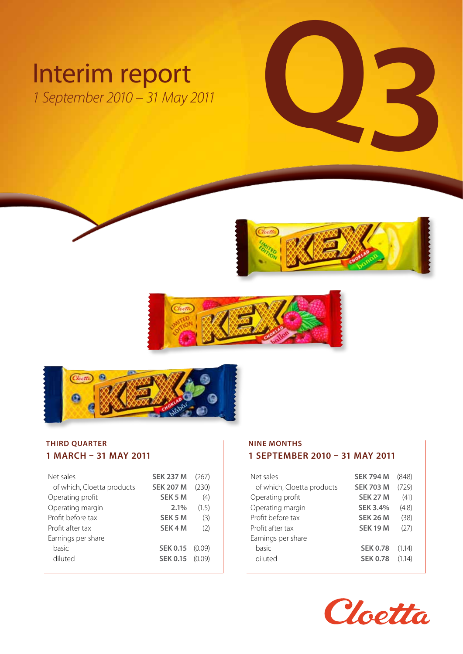# Interim report<br>
1 September 2010 – 31 May 2011 *1 September 2010 – 31 May 2011*







### **THIRD QUARTER 1 March – 31 May 2011**

| Net sales                  | <b>SEK 237 M</b>   | (267)  |
|----------------------------|--------------------|--------|
| of which, Cloetta products | <b>SEK 207 M</b>   | (230)  |
| Operating profit           | SEK 5 M            | (4)    |
| Operating margin           | 2.1%               | (1.5)  |
| Profit before tax          | SEK 5 M            | (3)    |
| Profit after tax           | SEK <sub>4</sub> M | (2)    |
| Earnings per share         |                    |        |
| basic                      | <b>SEK 0.15</b>    | (0.09) |
| diluted                    | <b>SEK 0.15</b>    | (0.09) |
|                            |                    |        |

### **NINE MONTHS 1 September 2010 – 31 May 2011**

| Net sales                  | <b>SEK 794 M</b> | (848)  |
|----------------------------|------------------|--------|
| of which, Cloetta products | <b>SEK 703 M</b> | (729)  |
| Operating profit           | <b>SEK 27 M</b>  | (41)   |
| Operating margin           | <b>SEK 3.4%</b>  | (4.8)  |
| Profit before tax          | <b>SEK 26 M</b>  | (38)   |
| Profit after tax           | <b>SEK 19 M</b>  | (27)   |
| Earnings per share         |                  |        |
| basic                      | <b>SEK 0.78</b>  | (1.14) |
| diluted                    | <b>SEK 0.78</b>  | (1.14) |

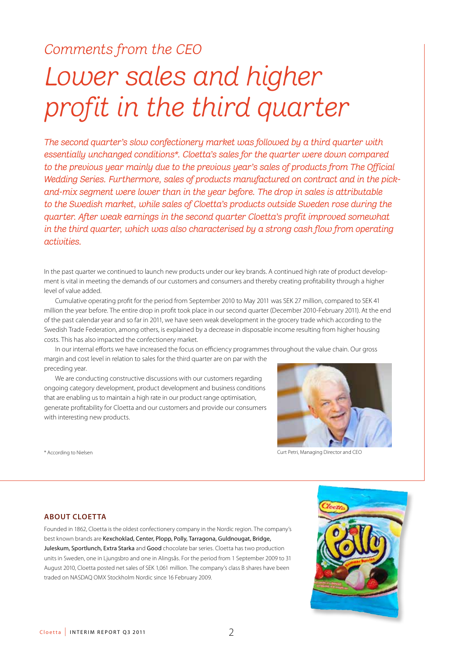## *Comments from the CEO*

# *Lower sales and higher profit in the third quarter*

*The second quarter's slow confectionery market was followed by a third quarter with essentially unchanged conditions\*. Cloetta's sales for the quarter were down compared to the previous year mainly due to the previous year's sales of products from The Official Wedding Series. Furthermore, sales of products manufactured on contract and in the pickand-mix segment were lower than in the year before. The drop in sales is attributable to the Swedish market, while sales of Cloetta's products outside Sweden rose during the quarter. After weak earnings in the second quarter Cloetta's profit improved somewhat in the third quarter, which was also characterised by a strong cash flow from operating activities.*

In the past quarter we continued to launch new products under our key brands. A continued high rate of product development is vital in meeting the demands of our customers and consumers and thereby creating profitability through a higher level of value added.

Cumulative operating profit for the period from September 2010 to May 2011 was SEK 27 million, compared to SEK 41 million the year before. The entire drop in profit took place in our second quarter (December 2010-February 2011). At the end of the past calendar year and so far in 2011, we have seen weak development in the grocery trade which according to the Swedish Trade Federation, among others, is explained by a decrease in disposable income resulting from higher housing costs. This has also impacted the confectionery market.

In our internal efforts we have increased the focus on efficiency programmes throughout the value chain. Our gross margin and cost level in relation to sales for the third quarter are on par with the preceding year.

We are conducting constructive discussions with our customers regarding ongoing category development, product development and business conditions that are enabling us to maintain a high rate in our product range optimisation, generate profitability for Cloetta and our customers and provide our consumers with interesting new products.



Curt Petri, Managing Director and CEO

\* According to Nielsen

### **About Cloetta**

Founded in 1862, Cloetta is the oldest confectionery company in the Nordic region. The company's best known brands are Kexchoklad, Center, Plopp, Polly, Tarragona, Guldnougat, Bridge, Juleskum, Sportlunch, Extra Starka and Good chocolate bar series. Cloetta has two production units in Sweden, one in Ljungsbro and one in Alingsås. For the period from 1 September 2009 to 31 August 2010, Cloetta posted net sales of SEK 1,061 million. The company's class B shares have been traded on NASDAQ OMX Stockholm Nordic since 16 February 2009.

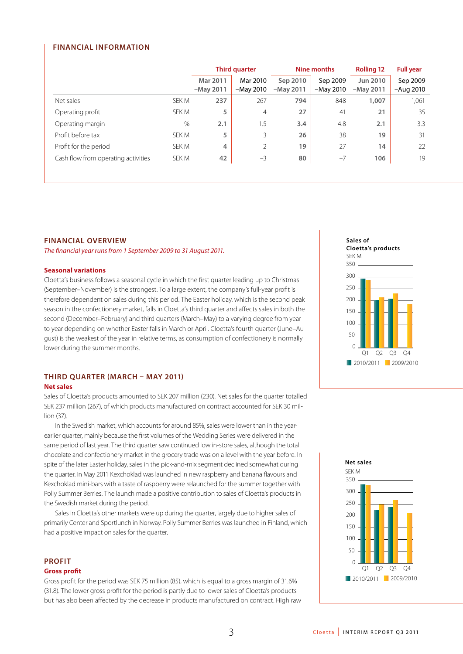### **Financial information**

|                                     |       | <b>Third quarter</b>    |                         | Nine months             |                         | <b>Rolling 12</b>       | <b>Full year</b>        |
|-------------------------------------|-------|-------------------------|-------------------------|-------------------------|-------------------------|-------------------------|-------------------------|
|                                     |       | Mar 2011<br>$-May 2011$ | Mar 2010<br>$-May 2010$ | Sep 2010<br>$-May 2011$ | Sep 2009<br>$-May 2010$ | Jun 2010<br>$-May 2011$ | Sep 2009<br>$-Auq$ 2010 |
| Net sales                           | SEK M | 237                     | 267                     | 794                     | 848                     | 1,007                   | 1,061                   |
| Operating profit                    | SEK M | 5                       | $\overline{4}$          | 27                      | 41                      | 21                      | 35                      |
| Operating margin                    | %     | 2.1                     | 1.5                     | 3.4                     | 4.8                     | 2.1                     | 3.3                     |
| Profit before tax                   | SEK M | 5                       | 3                       | 26                      | 38                      | 19                      | 31                      |
| Profit for the period               | SEK M | 4                       | 2                       | 19                      | 27                      | 14                      | 22                      |
| Cash flow from operating activities | SEK M | 42                      | $-3$                    | 80                      | $-7$                    | 106                     | 19                      |

### **Financial overview**

*The financial year runs from 1 September 2009 to 31 August 2011.*

### **Seasonal variations**

Cloetta's business follows a seasonal cycle in which the first quarter leading up to Christmas (September–November) is the strongest. To a large extent, the company's full-year profit is therefore dependent on sales during this period. The Easter holiday, which is the second peak season in the confectionery market, falls in Cloetta's third quarter and affects sales in both the second (December–February) and third quarters (March–May) to a varying degree from year to year depending on whether Easter falls in March or April. Cloetta's fourth quarter (June–August) is the weakest of the year in relative terms, as consumption of confectionery is normally lower during the summer months.

### **THIRD QUARTER (MARCH – MAY 2011)**

### **Net sales**

Sales of Cloetta's products amounted to SEK 207 million (230). Net sales for the quarter totalled SEK 237 million (267), of which products manufactured on contract accounted for SEK 30 million (37).

In the Swedish market, which accounts for around 85%, sales were lower than in the yearearlier quarter, mainly because the first volumes of the Wedding Series were delivered in the same period of last year. The third quarter saw continued low in-store sales, although the total chocolate and confectionery market in the grocery trade was on a level with the year before. In spite of the later Easter holiday, sales in the pick-and-mix segment declined somewhat during the quarter. In May 2011 Kexchoklad was launched in new raspberry and banana flavours and Kexchoklad mini-bars with a taste of raspberry were relaunched for the summer together with Polly Summer Berries. The launch made a positive contribution to sales of Cloetta's products in the Swedish market during the period.

Sales in Cloetta's other markets were up during the quarter, largely due to higher sales of primarily Center and Sportlunch in Norway. Polly Summer Berries was launched in Finland, which had a positive impact on sales for the quarter.

### **PROFIT Gross profit**

Gross profit for the period was SEK 75 million (85), which is equal to a gross margin of 31.6% (31.8). The lower gross profit for the period is partly due to lower sales of Cloetta's products but has also been affected by the decrease in products manufactured on contract. High raw



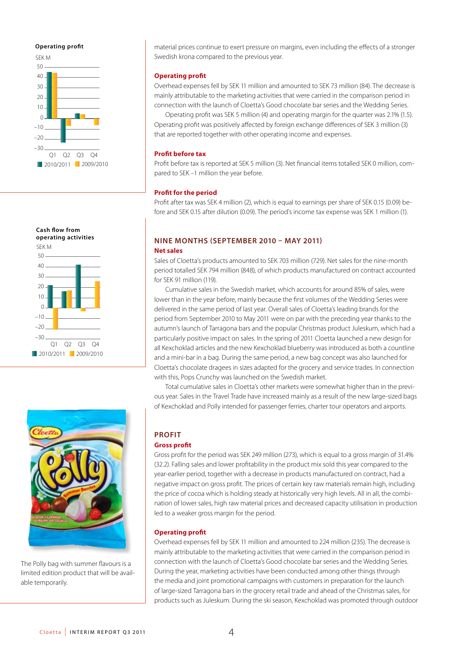### **Operating profit**







The Polly bag with summer flavours is a limited edition product that will be available temporarily.

material prices continue to exert pressure on margins, even including the effects of a stronger Swedish krona compared to the previous year.

### **Operating profit**

Overhead expenses fell by SEK 11 million and amounted to SEK 73 million (84). The decrease is mainly attributable to the marketing activities that were carried in the comparison period in connection with the launch of Cloetta's Good chocolate bar series and the Wedding Series.

Operating profit was SEK 5 million (4) and operating margin for the quarter was 2.1% (1.5). Operating profit was positively affected by foreign exchange differences of SEK 3 million (3) that are reported together with other operating income and expenses.

### **Profit before tax**

Profit before tax is reported at SEK 5 million (3). Net financial items totalled SEK 0 million, compared to SEK –1 million the year before.

### **Profit for the period**

Profit after tax was SEK 4 million (2), which is equal to earnings per share of SEK 0.15 (0.09) before and SEK 0.15 after dilution (0.09). The period's income tax expense was SEK 1 million (1).

### **NINE MONTHS (SEPTEMBER 2010 – MAY 2011)**

### **Net sales**

Sales of Cloetta's products amounted to SEK 703 million (729). Net sales for the nine-month period totalled SEK 794 million (848), of which products manufactured on contract accounted for SEK 91 million (119).

Cumulative sales in the Swedish market, which accounts for around 85% of sales, were lower than in the year before, mainly because the first volumes of the Wedding Series were delivered in the same period of last year. Overall sales of Cloetta's leading brands for the period from September 2010 to May 2011 were on par with the preceding year thanks to the autumn's launch of Tarragona bars and the popular Christmas product Juleskum, which had a particularly positive impact on sales. In the spring of 2011 Cloetta launched a new design for all Kexchoklad articles and the new Kexchoklad blueberry was introduced as both a countline and a mini-bar in a bag. During the same period, a new bag concept was also launched for Cloetta's chocolate dragees in sizes adapted for the grocery and service trades. In connection with this, Pops Crunchy was launched on the Swedish market.

Total cumulative sales in Cloetta's other markets were somewhat higher than in the previous year. Sales in the Travel Trade have increased mainly as a result of the new large-sized bags of Kexchoklad and Polly intended for passenger ferries, charter tour operators and airports.

### **PROFIT**

### **Gross profit**

Gross profit for the period was SEK 249 million (273), which is equal to a gross margin of 31.4% (32.2). Falling sales and lower profitability in the product mix sold this year compared to the year-earlier period, together with a decrease in products manufactured on contract, had a negative impact on gross profit. The prices of certain key raw materials remain high, including the price of cocoa which is holding steady at historically very high levels. All in all, the combination of lower sales, high raw material prices and decreased capacity utilisation in production led to a weaker gross margin for the period.

### **Operating profit**

Overhead expenses fell by SEK 11 million and amounted to 224 million (235). The decrease is mainly attributable to the marketing activities that were carried in the comparison period in connection with the launch of Cloetta's Good chocolate bar series and the Wedding Series. During the year, marketing activities have been conducted among other things through the media and joint promotional campaigns with customers in preparation for the launch of large-sized Tarragona bars in the grocery retail trade and ahead of the Christmas sales, for products such as Juleskum. During the ski season, Kexchoklad was promoted through outdoor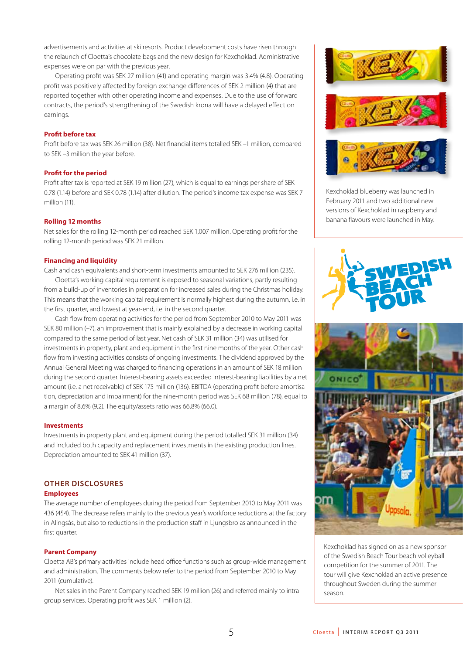advertisements and activities at ski resorts. Product development costs have risen through the relaunch of Cloetta's chocolate bags and the new design for Kexchoklad. Administrative expenses were on par with the previous year.

Operating profit was SEK 27 million (41) and operating margin was 3.4% (4.8). Operating profit was positively affected by foreign exchange differences of SEK 2 million (4) that are reported together with other operating income and expenses. Due to the use of forward contracts, the period's strengthening of the Swedish krona will have a delayed effect on earnings.

### **Profit before tax**

Profit before tax was SEK 26 million (38). Net financial items totalled SEK –1 million, compared to SEK –3 million the year before.

### **Profit for the period**

Profit after tax is reported at SEK 19 million (27), which is equal to earnings per share of SEK 0.78 (1.14) before and SEK 0.78 (1.14) after dilution. The period's income tax expense was SEK 7 million (11).

### **Rolling 12 months**

Net sales for the rolling 12-month period reached SEK 1,007 million. Operating profit for the rolling 12-month period was SEK 21 million.

### **Financing and liquidity**

Cash and cash equivalents and short-term investments amounted to SEK 276 million (235).

Cloetta's working capital requirement is exposed to seasonal variations, partly resulting from a build-up of inventories in preparation for increased sales during the Christmas holiday. This means that the working capital requirement is normally highest during the autumn, i.e. in the first quarter, and lowest at year-end, i.e. in the second quarter.

Cash flow from operating activities for the period from September 2010 to May 2011 was SEK 80 million (–7), an improvement that is mainly explained by a decrease in working capital compared to the same period of last year. Net cash of SEK 31 million (34) was utilised for investments in property, plant and equipment in the first nine months of the year. Other cash flow from investing activities consists of ongoing investments. The dividend approved by the Annual General Meeting was charged to financing operations in an amount of SEK 18 million during the second quarter. Interest-bearing assets exceeded interest-bearing liabilities by a net amount (i.e. a net receivable) of SEK 175 million (136). EBITDA (operating profit before amortisation, depreciation and impairment) for the nine-month period was SEK 68 million (78), equal to a margin of 8.6% (9.2). The equity/assets ratio was 66.8% (66.0).

### **Investments**

Investments in property plant and equipment during the period totalled SEK 31 million (34) and included both capacity and replacement investments in the existing production lines. Depreciation amounted to SEK 41 million (37).

### **Other disclosures**

### **Employees**

The average number of employees during the period from September 2010 to May 2011 was 436 (454). The decrease refers mainly to the previous year's workforce reductions at the factory in Alingsås, but also to reductions in the production staff in Ljungsbro as announced in the first quarter.

### **Parent Company**

Cloetta AB's primary activities include head office functions such as group-wide management and administration. The comments below refer to the period from September 2010 to May 2011 (cumulative).

Net sales in the Parent Company reached SEK 19 million (26) and referred mainly to intragroup services. Operating profit was SEK 1 million (2).



Kexchoklad blueberry was launched in February 2011 and two additional new versions of Kexchoklad in raspberry and banana flavours were launched in May.





Kexchoklad has signed on as a new sponsor of the Swedish Beach Tour beach volleyball competition for the summer of 2011. The tour will give Kexchoklad an active presence throughout Sweden during the summer season.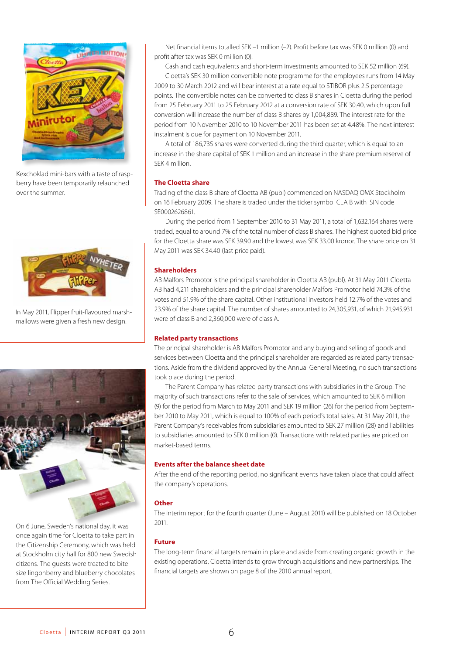

Kexchoklad mini-bars with a taste of raspberry have been temporarily relaunched over the summer.



In May 2011, Flipper fruit-flavoured marshmallows were given a fresh new design.



On 6 June, Sweden's national day, it was once again time for Cloetta to take part in the Citizenship Ceremony, which was held at Stockholm city hall for 800 new Swedish citizens. The guests were treated to bitesize lingonberry and blueberry chocolates from The Official Wedding Series.

Net financial items totalled SEK –1 million (-2). Profit before tax was SEK 0 million (0) and profit after tax was SEK 0 million (0).

Cash and cash equivalents and short-term investments amounted to SEK 52 million (69). Cloetta's SEK 30 million convertible note programme for the employees runs from 14 May 2009 to 30 March 2012 and will bear interest at a rate equal to STIBOR plus 2.5 percentage points. The convertible notes can be converted to class B shares in Cloetta during the period from 25 February 2011 to 25 February 2012 at a conversion rate of SEK 30.40, which upon full conversion will increase the number of class B shares by 1,004,889. The interest rate for the period from 10 November 2010 to 10 November 2011 has been set at 4.48%. The next interest instalment is due for payment on 10 November 2011.

A total of 186,735 shares were converted during the third quarter, which is equal to an increase in the share capital of SEK 1 million and an increase in the share premium reserve of SEK 4 million.

### **The Cloetta share**

Trading of the class B share of Cloetta AB (publ) commenced on NASDAQ OMX Stockholm on 16 February 2009. The share is traded under the ticker symbol CLA B with ISIN code SE0002626861.

During the period from 1 September 2010 to 31 May 2011, a total of 1,632,164 shares were traded, equal to around 7% of the total number of class B shares. The highest quoted bid price for the Cloetta share was SEK 39.90 and the lowest was SEK 33.00 kronor. The share price on 31 May 2011 was SEK 34.40 (last price paid).

### **Shareholders**

AB Malfors Promotor is the principal shareholder in Cloetta AB (publ). At 31 May 2011 Cloetta AB had 4,211 shareholders and the principal shareholder Malfors Promotor held 74.3% of the votes and 51.9% of the share capital. Other institutional investors held 12.7% of the votes and 23.9% of the share capital. The number of shares amounted to 24,305,931, of which 21,945,931 were of class B and 2,360,000 were of class A.

### **Related party transactions**

The principal shareholder is AB Malfors Promotor and any buying and selling of goods and services between Cloetta and the principal shareholder are regarded as related party transactions. Aside from the dividend approved by the Annual General Meeting, no such transactions took place during the period.

The Parent Company has related party transactions with subsidiaries in the Group. The majority of such transactions refer to the sale of services, which amounted to SEK 6 million (9) for the period from March to May 2011 and SEK 19 million (26) for the period from September 2010 to May 2011, which is equal to 100% of each period's total sales. At 31 May 2011, the Parent Company's receivables from subsidiaries amounted to SEK 27 million (28) and liabilities to subsidiaries amounted to SEK 0 million (0). Transactions with related parties are priced on market-based terms.

### **Events after the balance sheet date**

After the end of the reporting period, no significant events have taken place that could affect the company's operations.

### **Other**

The interim report for the fourth quarter (June – August 2011) will be published on 18 October 2011.

### **Future**

The long-term financial targets remain in place and aside from creating organic growth in the existing operations, Cloetta intends to grow through acquisitions and new partnerships. The financial targets are shown on page 8 of the 2010 annual report.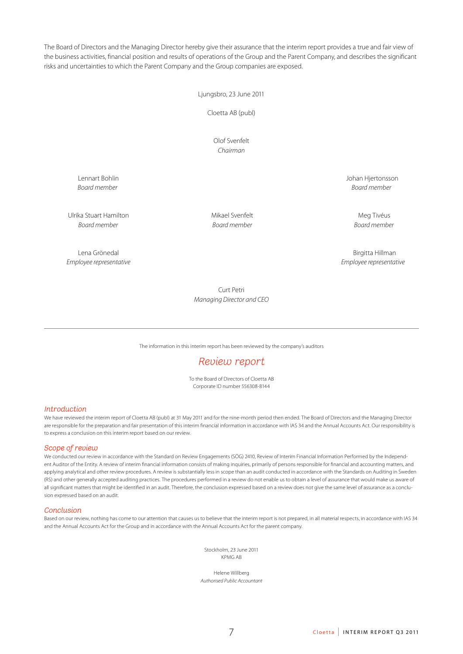The Board of Directors and the Managing Director hereby give their assurance that the interim report provides a true and fair view of the business activities, financial position and results of operations of the Group and the Parent Company, and describes the significant risks and uncertainties to which the Parent Company and the Group companies are exposed.

Ljungsbro, 23 June 2011

Cloetta AB (publ)

Olof Svenfelt *Chairman*

Lennart Bohlin Johan Hjertonsson *Board member Board member*

Ulrika Stuart Hamilton **Mikael Svenfelt** Mikael Svenfelt Meg Tivéus *Board member Board member Board member*

*Employee representative Employee representative*

Lena Grönedal Birgitta Hillman

Curt Petri *Managing Director and CEO*

The information in this interim report has been reviewed by the company's auditors

### *Review report*

To the Board of Directors of Cloetta AB Corporate ID number 556308-8144

### *Introduction*

We have reviewed the interim report of Cloetta AB (publ) at 31 May 2011 and for the nine-month period then ended. The Board of Directors and the Managing Director are responsible for the preparation and fair presentation of this interim financial information in accordance with IAS 34 and the Annual Accounts Act. Our responsibility is to express a conclusion on this interim report based on our review.

### *Scope of review*

We conducted our review in accordance with the Standard on Review Engagements (SÖG) 2410, Review of Interim Financial Information Performed by the Independent Auditor of the Entity. A review of interim financial information consists of making inquiries, primarily of persons responsible for financial and accounting matters, and applying analytical and other review procedures. A review is substantially less in scope than an audit conducted in accordance with the Standards on Auditing in Sweden (RS) and other generally accepted auditing practices. The procedures performed in a review do not enable us to obtain a level of assurance that would make us aware of all significant matters that might be identified in an audit. Therefore, the conclusion expressed based on a review does not give the same level of assurance as a conclusion expressed based on an audit.

### *Conclusion*

Based on our review, nothing has come to our attention that causes us to believe that the interim report is not prepared, in all material respects, in accordance with IAS 34 and the Annual Accounts Act for the Group and in accordance with the Annual Accounts Act for the parent company.

> Stockholm, 23 June 2011 KPMG AB

Helene Willberg *Authorised Public Accountant*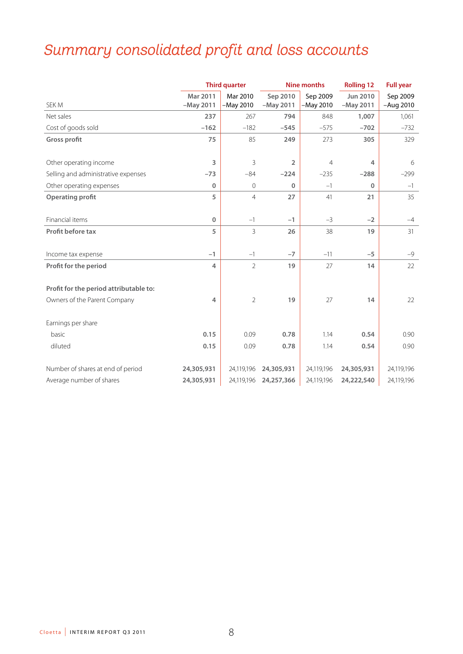# *Summary consolidated profit and loss accounts*

|                                        |                         | <b>Third quarter</b>  | <b>Nine months</b>      |                       | <b>Rolling 12</b>              | <b>Full year</b>      |
|----------------------------------------|-------------------------|-----------------------|-------------------------|-----------------------|--------------------------------|-----------------------|
| SEK M                                  | Mar 2011<br>$-May 2011$ | Mar 2010<br>-May 2010 | Sep 2010<br>$-May 2011$ | Sep 2009<br>-May 2010 | <b>Jun 2010</b><br>$-May 2011$ | Sep 2009<br>-Aug 2010 |
| Net sales                              | 237                     | 267                   | 794                     | 848                   | 1,007                          | 1,061                 |
| Cost of goods sold                     | $-162$                  | $-182$                | $-545$                  | $-575$                | $-702$                         | $-732$                |
| <b>Gross profit</b>                    | 75                      | 85                    | 249                     | 273                   | 305                            | 329                   |
| Other operating income                 | 3                       | 3                     | $\overline{2}$          | $\overline{4}$        | 4                              | 6                     |
| Selling and administrative expenses    | $-73$                   | $-84$                 | $-224$                  | $-235$                | $-288$                         | $-299$                |
| Other operating expenses               | 0                       | $\mathbf 0$           | $\Omega$                | $-1$                  | $\mathbf 0$                    | $-1$                  |
| <b>Operating profit</b>                | 5                       | $\overline{4}$        | 27                      | 41                    | 21                             | 35                    |
| Financial items                        | 0                       | $-1$                  | $-1$                    | $-3$                  | $-2$                           | $-4$                  |
| Profit before tax                      | 5                       | 3                     | 26                      | 38                    | 19                             | 31                    |
| Income tax expense                     | $-1$                    | $-1$                  | $-7$                    | $-11$                 | $-5$                           | $-9$                  |
| Profit for the period                  | 4                       | $\overline{2}$        | 19                      | 27                    | 14                             | 22                    |
| Profit for the period attributable to: |                         |                       |                         |                       |                                |                       |
| Owners of the Parent Company           | 4                       | $\overline{2}$        | 19                      | 27                    | 14                             | 22                    |
| Earnings per share                     |                         |                       |                         |                       |                                |                       |
| basic                                  | 0.15                    | 0.09                  | 0.78                    | 1.14                  | 0.54                           | 0.90                  |
| diluted                                | 0.15                    | 0.09                  | 0.78                    | 1.14                  | 0.54                           | 0.90                  |
| Number of shares at end of period      | 24,305,931              | 24,119,196            | 24,305,931              | 24,119,196            | 24,305,931                     | 24,119,196            |
| Average number of shares               | 24,305,931              | 24,119,196            | 24,257,366              | 24,119,196            | 24,222,540                     | 24,119,196            |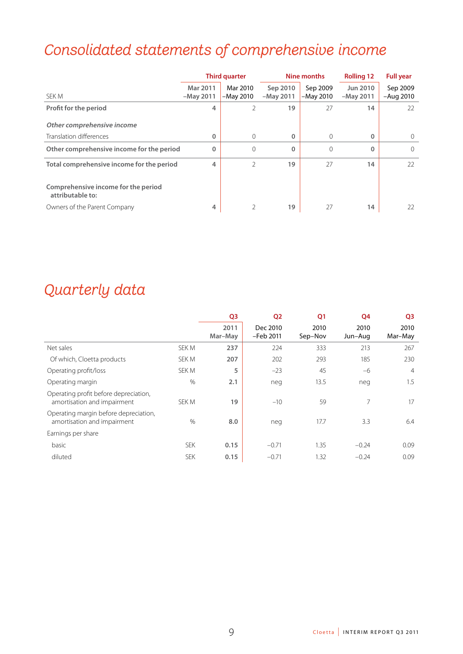# *Consolidated statements of comprehensive income*

|                                                         |                         | <b>Third quarter</b><br>Nine months |                         | <b>Rolling 12</b>     | <b>Full year</b>               |                         |
|---------------------------------------------------------|-------------------------|-------------------------------------|-------------------------|-----------------------|--------------------------------|-------------------------|
| SEK M                                                   | Mar 2011<br>$-May 2011$ | Mar 2010<br>$-May 2010$             | Sep 2010<br>$-May 2011$ | Sep 2009<br>-May 2010 | <b>Jun 2010</b><br>$-May 2011$ | Sep 2009<br>$-Auq$ 2010 |
| Profit for the period                                   | 4                       | 2                                   | 19                      | 27                    | 14                             | 22                      |
| Other comprehensive income                              |                         |                                     |                         |                       |                                |                         |
| Translation differences                                 | 0                       | 0                                   | $\Omega$                | 0                     | $\Omega$                       | $\Omega$                |
| Other comprehensive income for the period               | $\mathbf 0$             | $\mathbf 0$                         | $\mathbf{0}$            | $\Omega$              | $\mathbf 0$                    | $\Omega$                |
| Total comprehensive income for the period               | 4                       | $\mathcal{P}$                       | 19                      | 27                    | 14                             | 22                      |
| Comprehensive income for the period<br>attributable to: |                         |                                     |                         |                       |                                |                         |
| Owners of the Parent Company                            | 4                       | 2                                   | 19                      | 27                    | 14                             | 22                      |

# *Quarterly data*

|                                                                      |               | Q <sub>3</sub>  | Q <sub>2</sub>        | Q <sub>1</sub>  | Q4              | Q <sub>3</sub>  |
|----------------------------------------------------------------------|---------------|-----------------|-----------------------|-----------------|-----------------|-----------------|
|                                                                      |               | 2011<br>Mar-May | Dec 2010<br>-Feb 2011 | 2010<br>Sep-Nov | 2010<br>Jun-Aug | 2010<br>Mar-May |
| Net sales                                                            | SEK M         | 237             | 224                   | 333             | 213             | 267             |
| Of which, Cloetta products                                           | SEK M         | 207             | 202                   | 293             | 185             | 230             |
| Operating profit/loss                                                | SEK M         | 5               | $-23$                 | 45              | $-6$            | $\overline{4}$  |
| Operating margin                                                     | $\%$          | 2.1             | neg                   | 13.5            | neg             | 1.5             |
| Operating profit before depreciation,<br>amortisation and impairment | SEK M         | 19              | $-10$                 | 59              | 7               | 17              |
| Operating margin before depreciation,<br>amortisation and impairment | $\frac{0}{0}$ | 8.0             | neg                   | 17.7            | 3.3             | 6.4             |
| Earnings per share                                                   |               |                 |                       |                 |                 |                 |
| basic                                                                | <b>SEK</b>    | 0.15            | $-0.71$               | 1.35            | $-0.24$         | 0.09            |
| diluted                                                              | <b>SEK</b>    | 0.15            | $-0.71$               | 1.32            | $-0.24$         | 0.09            |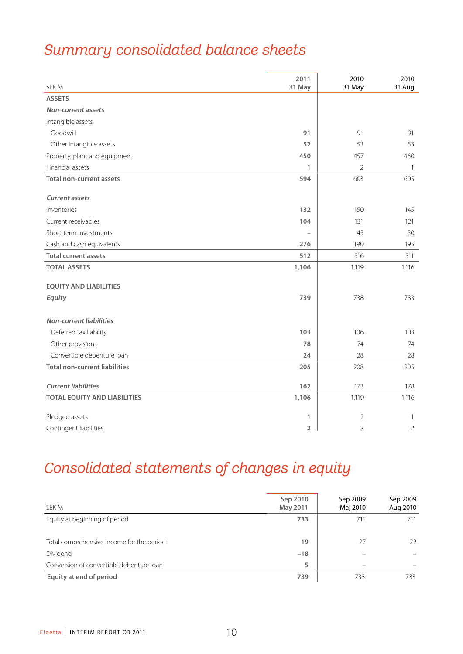# *Summary consolidated balance sheets*

| SEK M                                | 2011<br>31 May | 2010<br>31 May | 2010<br>31 Aug |
|--------------------------------------|----------------|----------------|----------------|
| <b>ASSETS</b>                        |                |                |                |
| Non-current assets                   |                |                |                |
| Intangible assets                    |                |                |                |
| Goodwill                             | 91             | 91             | 91             |
| Other intangible assets              | 52             | 53             | 53             |
| Property, plant and equipment        | 450            | 457            | 460            |
| Financial assets                     | 1              | 2              | $\overline{1}$ |
| <b>Total non-current assets</b>      | 594            | 603            | 605            |
|                                      |                |                |                |
| <b>Current assets</b>                |                |                |                |
| Inventories                          | 132            | 150            | 145            |
| Current receivables                  | 104            | 131            | 121            |
| Short-term investments               |                | 45             | 50             |
| Cash and cash equivalents            | 276            | 190            | 195            |
| <b>Total current assets</b>          | 512            | 516            | 511            |
| <b>TOTAL ASSETS</b>                  | 1,106          | 1,119          | 1,116          |
| <b>EQUITY AND LIABILITIES</b>        |                |                |                |
| Equity                               | 739            | 738            | 733            |
|                                      |                |                |                |
| <b>Non-current liabilities</b>       |                |                |                |
| Deferred tax liability               | 103            | 106            | 103            |
| Other provisions                     | 78             | 74             | 74             |
| Convertible debenture loan           | 24             | 28             | 28             |
| <b>Total non-current liabilities</b> | 205            | 208            | 205            |
|                                      |                |                |                |
| <b>Current liabilities</b>           | 162            | 173            | 178            |
| <b>TOTAL EQUITY AND LIABILITIES</b>  | 1,106          | 1,119          | 1,116          |
| Pledged assets                       | 1              | $\overline{2}$ | $\mathbf{1}$   |
| Contingent liabilities               | 2              | $\overline{2}$ | $\overline{2}$ |

# *Consolidated statements of changes in equity*

| SEK M                                     | Sep 2010<br>$-May 2011$ | Sep 2009<br>-Maj 2010 | Sep 2009<br>$-Auq$ 2010 |
|-------------------------------------------|-------------------------|-----------------------|-------------------------|
| Equity at beginning of period             | 733                     | 711                   | 711                     |
| Total comprehensive income for the period | 19                      | 27                    | 22                      |
| Dividend                                  | $-18$                   |                       |                         |
| Conversion of convertible debenture loan  | 5                       |                       |                         |
| Equity at end of period                   | 739                     | 738                   | 733                     |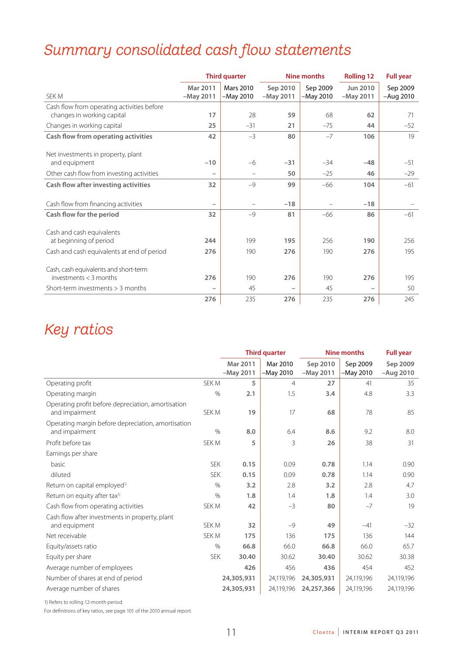# *Summary consolidated cash flow statements*

|                                                                          |                          | <b>Third quarter</b> |             | <b>Nine months</b> | <b>Rolling 12</b> | <b>Full year</b> |
|--------------------------------------------------------------------------|--------------------------|----------------------|-------------|--------------------|-------------------|------------------|
|                                                                          | Mar 2011                 | <b>Mars 2010</b>     | Sep 2010    | Sep 2009           | Jun 2010          | Sep 2009         |
| SEK M                                                                    | $-May 2011$              | $-May 2010$          | $-Mav 2011$ | -May 2010          | $-May 2011$       | $-Aug$ 2010      |
| Cash flow from operating activities before<br>changes in working capital | 17                       | 28                   | 59          | 68                 | 62                | 71               |
| Changes in working capital                                               | 25                       | $-31$                | 21          | $-75$              | 44                | $-52$            |
| Cash flow from operating activities                                      | 42                       | $-3$                 | 80          | $-7$               | 106               | 19               |
|                                                                          |                          |                      |             |                    |                   |                  |
| Net investments in property, plant                                       |                          |                      |             |                    |                   |                  |
| and equipment                                                            | $-10$                    | $-6$                 | $-31$       | $-34$              | $-48$             | $-51$            |
| Other cash flow from investing activities                                | $\overline{\phantom{0}}$ |                      | 50          | $-25$              | 46                | $-29$            |
| Cash flow after investing activities                                     | 32                       | $-9$                 | 99          | $-66$              | 104               | $-61$            |
|                                                                          |                          |                      |             |                    |                   |                  |
| Cash flow from financing activities                                      | $\overline{\phantom{0}}$ |                      | $-18$       |                    | $-18$             |                  |
| Cash flow for the period                                                 | 32                       | $-9$                 | 81          | $-66$              | 86                | $-61$            |
|                                                                          |                          |                      |             |                    |                   |                  |
| Cash and cash equivalents                                                |                          |                      |             |                    |                   |                  |
| at beginning of period                                                   | 244                      | 199                  | 195         | 256                | 190               | 256              |
| Cash and cash equivalents at end of period                               | 276                      | 190                  | 276         | 190                | 276               | 195              |
|                                                                          |                          |                      |             |                    |                   |                  |
| Cash, cash equivalents and short-term                                    |                          |                      |             |                    |                   |                  |
| investments $<$ 3 months                                                 | 276                      | 190                  | 276         | 190                | 276               | 195              |
| Short-term investments $>$ 3 months                                      |                          | 45                   |             | 45                 |                   | 50               |
|                                                                          | 276                      | 235                  | 276         | 235                | 276               | 245              |

# *Key ratios*

|                                                                      |            |                         | <b>Third quarter</b>  |                         | <b>Nine months</b>    | <b>Full year</b>        |
|----------------------------------------------------------------------|------------|-------------------------|-----------------------|-------------------------|-----------------------|-------------------------|
|                                                                      |            | Mar 2011<br>$-May 2011$ | Mar 2010<br>-May 2010 | Sep 2010<br>$-May 2011$ | Sep 2009<br>-May 2010 | Sep 2009<br>$-Auq$ 2010 |
| Operating profit                                                     | SEK M      | 5                       | $\overline{4}$        | 27                      | 41                    | 35                      |
| Operating margin                                                     | $\%$       | 2.1                     | 1.5                   | 3.4                     | 4.8                   | 3.3                     |
| Operating profit before depreciation, amortisation<br>and impairment | SEK M      | 19                      | 17                    | 68                      | 78                    | 85                      |
| Operating margin before depreciation, amortisation<br>and impairment | $\%$       | 8.0                     | 6.4                   | 8.6                     | 9.2                   | 8.0                     |
| Profit before tax                                                    | SEK M      | 5                       | 3                     | 26                      | 38                    | 31                      |
| Earnings per share                                                   |            |                         |                       |                         |                       |                         |
| basic                                                                | <b>SEK</b> | 0.15                    | 0.09                  | 0.78                    | 1.14                  | 0.90                    |
| diluted                                                              | <b>SEK</b> | 0.15                    | 0.09                  | 0.78                    | 1.14                  | 0.90                    |
| Return on capital employed <sup>1)</sup>                             | $\%$       | 3.2                     | 2.8                   | 3.2                     | 2.8                   | 4.7                     |
| Return on equity after tax <sup>1)</sup>                             | $\%$       | 1.8                     | 1.4                   | 1.8                     | 1.4                   | 3.0                     |
| Cash flow from operating activities                                  | SEK M      | 42                      | $-3$                  | 80                      | $-7$                  | 19                      |
| Cash flow after investments in property, plant<br>and equipment      | SEK M      | 32                      | $-9$                  | 49                      | $-41$                 | $-32$                   |
| Net receivable                                                       | SEK M      | 175                     | 136                   | 175                     | 136                   | 144                     |
| Equity/assets ratio                                                  | $\%$       | 66.8                    | 66.0                  | 66.8                    | 66.0                  | 65.7                    |
| Equity per share                                                     | <b>SEK</b> | 30.40                   | 30.62                 | 30.40                   | 30.62                 | 30.38                   |
| Average number of employees                                          |            | 426                     | 456                   | 436                     | 454                   | 452                     |
| Number of shares at end of period                                    |            | 24,305,931              | 24,119,196            | 24,305,931              | 24,119,196            | 24,119,196              |
| Average number of shares                                             |            | 24,305,931              | 24,119,196            | 24,257,366              | 24,119,196            | 24,119,196              |

1) Refers to rolling 12-month period.

For definitions of key ratios, see page 101 of the 2010 annual report.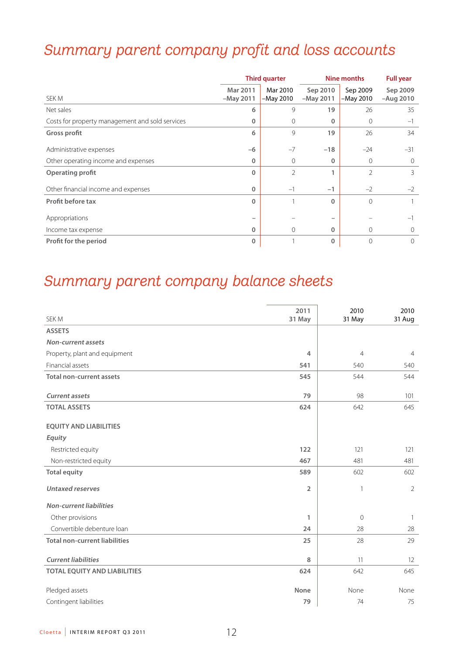# *Summary parent company profit and loss accounts*

|                                                 | <b>Third quarter</b>    |                         | Nine months             |                         | <b>Full year</b>        |
|-------------------------------------------------|-------------------------|-------------------------|-------------------------|-------------------------|-------------------------|
| SEK M                                           | Mar 2011<br>$-May 2011$ | Mar 2010<br>$-May 2010$ | Sep 2010<br>$-May 2011$ | Sep 2009<br>$-May 2010$ | Sep 2009<br>$-Auq 2010$ |
| Net sales                                       | 6                       | 9                       | 19                      | 26                      | 35                      |
| Costs for property management and sold services | $\mathbf{0}$            | $\mathbf{0}$            | 0                       | $\mathbf{0}$            | $-1$                    |
| Gross profit                                    | 6                       | 9                       | 19                      | 26                      | 34                      |
| Administrative expenses                         | $-6$                    | $-7$                    | $-18$                   | $-24$                   | $-31$                   |
| Other operating income and expenses             | 0                       | $\Omega$                | 0                       | $\mathbf{0}$            | $\Omega$                |
| Operating profit                                | $\Omega$                | 2                       | 1                       | $\mathcal{P}$           | 3                       |
| Other financial income and expenses             | $\Omega$                | $-1$                    | $-1$                    | $-2$                    | $-2$                    |
| <b>Profit before tax</b>                        | $\Omega$                |                         | $\Omega$                | $\mathbf{0}$            |                         |
| Appropriations                                  | -                       |                         |                         |                         |                         |
| Income tax expense                              | $\Omega$                | $\mathbf{0}$            | $\mathbf{0}$            | $\mathbf{0}$            |                         |
| Profit for the period                           | 0                       |                         | $\mathbf 0$             | $\overline{0}$          | $\Omega$                |

# *Summary parent company balance sheets*

| SEK M                                | 2011<br>31 May | 2010<br>31 May | 2010<br>31 Aug |
|--------------------------------------|----------------|----------------|----------------|
| <b>ASSETS</b>                        |                |                |                |
| <b>Non-current assets</b>            |                |                |                |
| Property, plant and equipment        | $\overline{4}$ | $\overline{4}$ | $\overline{4}$ |
| Financial assets                     | 541            | 540            | 540            |
| <b>Total non-current assets</b>      | 545            | 544            | 544            |
| <b>Current assets</b>                | 79             | 98             | 101            |
| <b>TOTAL ASSETS</b>                  | 624            | 642            | 645            |
| <b>EOUITY AND LIABILITIES</b>        |                |                |                |
| Equity                               |                |                |                |
| Restricted equity                    | 122            | 121            | 121            |
| Non-restricted equity                | 467            | 481            | 481            |
| <b>Total equity</b>                  | 589            | 602            | 602            |
| <b>Untaxed reserves</b>              | $\overline{2}$ | $\mathbf{1}$   | $\overline{2}$ |
| <b>Non-current liabilities</b>       |                |                |                |
| Other provisions                     | 1              | $\overline{0}$ | -1             |
| Convertible debenture loan           | 24             | 28             | 28             |
| <b>Total non-current liabilities</b> | 25             | 28             | 29             |
| <b>Current liabilities</b>           | 8              | 11             | 12             |
| <b>TOTAL EQUITY AND LIABILITIES</b>  | 624            | 642            | 645            |
| Pledged assets                       | None           | None           | None           |
| Contingent liabilities               | 79             | 74             | 75             |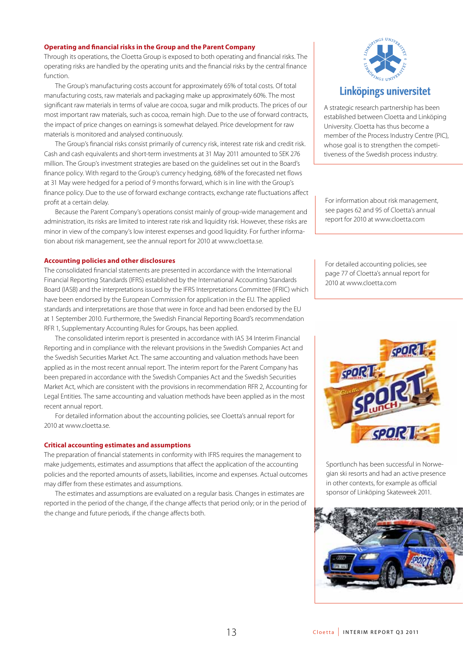### **Operating and financial risks in the Group and the Parent Company**

Through its operations, the Cloetta Group is exposed to both operating and financial risks. The operating risks are handled by the operating units and the financial risks by the central finance function.

The Group's manufacturing costs account for approximately 65% of total costs. Of total manufacturing costs, raw materials and packaging make up approximately 60%. The most significant raw materials in terms of value are cocoa, sugar and milk products. The prices of our most important raw materials, such as cocoa, remain high. Due to the use of forward contracts, the impact of price changes on earnings is somewhat delayed. Price development for raw materials is monitored and analysed continuously.

The Group's financial risks consist primarily of currency risk, interest rate risk and credit risk. Cash and cash equivalents and short-term investments at 31 May 2011 amounted to SEK 276 million. The Group's investment strategies are based on the guidelines set out in the Board's finance policy. With regard to the Group's currency hedging, 68% of the forecasted net flows at 31 May were hedged for a period of 9 months forward, which is in line with the Group's finance policy. Due to the use of forward exchange contracts, exchange rate fluctuations affect profit at a certain delay.

Because the Parent Company's operations consist mainly of group-wide management and administration, its risks are limited to interest rate risk and liquidity risk. However, these risks are minor in view of the company's low interest expenses and good liquidity. For further information about risk management, see the annual report for 2010 at www.cloetta.se.

### **Accounting policies and other disclosures**

The consolidated financial statements are presented in accordance with the International Financial Reporting Standards (IFRS) established by the International Accounting Standards Board (IASB) and the interpretations issued by the IFRS Interpretations Committee (IFRIC) which have been endorsed by the European Commission for application in the EU. The applied standards and interpretations are those that were in force and had been endorsed by the EU at 1 September 2010. Furthermore, the Swedish Financial Reporting Board's recommendation RFR 1, Supplementary Accounting Rules for Groups, has been applied.

The consolidated interim report is presented in accordance with IAS 34 Interim Financial Reporting and in compliance with the relevant provisions in the Swedish Companies Act and the Swedish Securities Market Act. The same accounting and valuation methods have been applied as in the most recent annual report. The interim report for the Parent Company has been prepared in accordance with the Swedish Companies Act and the Swedish Securities Market Act, which are consistent with the provisions in recommendation RFR 2, Accounting for Legal Entities. The same accounting and valuation methods have been applied as in the most recent annual report.

For detailed information about the accounting policies, see Cloetta's annual report for 2010 at www.cloetta.se.

### **Critical accounting estimates and assumptions**

The preparation of financial statements in conformity with IFRS requires the management to make judgements, estimates and assumptions that affect the application of the accounting policies and the reported amounts of assets, liabilities, income and expenses. Actual outcomes may differ from these estimates and assumptions.

The estimates and assumptions are evaluated on a regular basis. Changes in estimates are reported in the period of the change, if the change affects that period only; or in the period of the change and future periods, if the change affects both.



### Linköpings universitet

A strategic research partnership has been established between Cloetta and Linköping University. Cloetta has thus become a member of the Process Industry Centre (PIC), whose goal is to strengthen the competitiveness of the Swedish process industry.

For information about risk management, see pages 62 and 95 of Cloetta's annual report for 2010 at www.cloetta.com

For detailed accounting policies, see page 77 of Cloetta's annual report for 2010 at www.cloetta.com



Sportlunch has been successful in Norwegian ski resorts and had an active presence in other contexts, for example as official sponsor of Linköping Skateweek 2011.